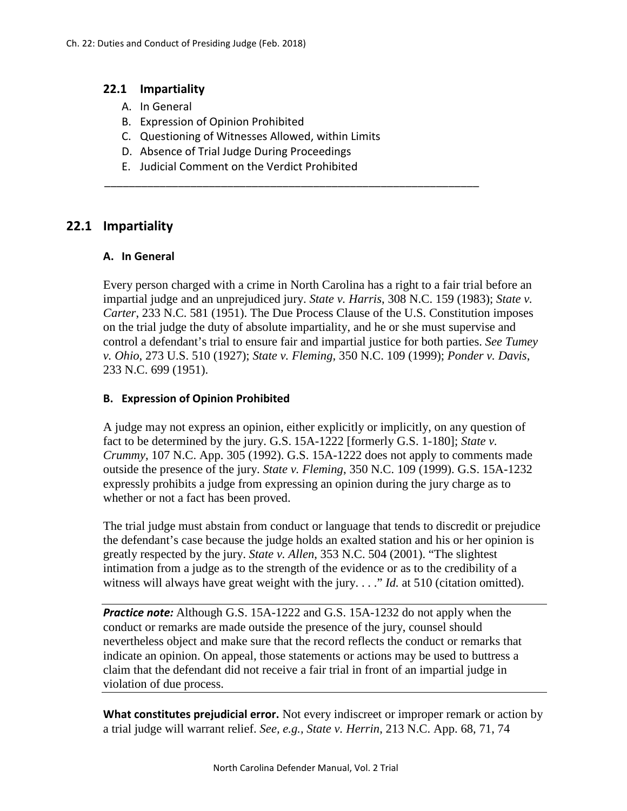## **22.1 Impartiality**

- A. In General
- B. Expression of Opinion Prohibited
- C. Questioning of Witnesses Allowed, within Limits

\_\_\_\_\_\_\_\_\_\_\_\_\_\_\_\_\_\_\_\_\_\_\_\_\_\_\_\_\_\_\_\_\_\_\_\_\_\_\_\_\_\_\_\_\_\_\_\_\_\_\_\_\_\_\_\_\_\_\_\_\_

- D. Absence of Trial Judge During Proceedings
- E. Judicial Comment on the Verdict Prohibited

# **22.1 Impartiality**

#### **A. In General**

Every person charged with a crime in North Carolina has a right to a fair trial before an impartial judge and an unprejudiced jury. *State v. Harris*[, 308 N.C. 159 \(1983\);](http://www.lexis.com/research/buttonTFLink?_m=2b734d1b61fc4ad1cbf7919ef89193c0&_xfercite=%3ccite%20cc%3d%22USA%22%3e%3c%21%5bCDATA%5b292%20N.C.%20513%5d%5d%3e%3c%2fcite%3e&_butType=3&_butStat=2&_butNum=10&_butInline=1&_butinfo=%3ccite%20cc%3d%22USA%22%3e%3c%21%5bCDATA%5b233%20N.C.%20581%5d%5d%3e%3c%2fcite%3e&_fmtstr=FULL&docnum=1&_startdoc=1&wchp=dGLzVzz-zSkAA&_md5=6daf5df24eb59b12b19ffc0771d27267) *State v. Carter*[, 233 N.C. 581 \(1951\)](http://www.lexis.com/research/buttonTFLink?_m=2b734d1b61fc4ad1cbf7919ef89193c0&_xfercite=%3ccite%20cc%3d%22USA%22%3e%3c%21%5bCDATA%5b292%20N.C.%20513%5d%5d%3e%3c%2fcite%3e&_butType=3&_butStat=2&_butNum=10&_butInline=1&_butinfo=%3ccite%20cc%3d%22USA%22%3e%3c%21%5bCDATA%5b233%20N.C.%20581%5d%5d%3e%3c%2fcite%3e&_fmtstr=FULL&docnum=1&_startdoc=1&wchp=dGLzVzz-zSkAA&_md5=6daf5df24eb59b12b19ffc0771d27267). The Due Process Clause of the U.S. Constitution imposes on the trial judge the duty of absolute impartiality, and he or she must supervise and control a defendant's trial to ensure fair and impartial justice for both parties. *See Tumey v. Ohio*, 273 U.S. 510 (1927); *State v. Fleming*, 350 N.C. 109 (1999); *Ponder v. Davis*, 233 N.C. 699 (1951).

## **B. Expression of Opinion Prohibited**

A judge may not express an opinion, either explicitly or implicitly, on any question of fact to be determined by the jury. G.S. 15A-1222 [formerly G.S. 1-180]; *State v. Crummy*, 107 N.C. App. 305 (1992). G.S. 15A-1222 does not apply to comments made outside the presence of the jury. *State v. Fleming*, 350 N.C. 109 (1999). G.S. 15A-1232 expressly prohibits a judge from expressing an opinion during the jury charge as to whether or not a fact has been proved.

The trial judge must abstain from conduct or language that tends to discredit or prejudice the defendant's case because the judge holds an exalted station and his or her opinion is greatly respected by the jury. *State v. Allen*, 353 N.C. 504 (2001). "The slightest intimation from a judge as to the strength of the evidence or as to the credibility of a witness will always have great weight with the jury. . . ." *Id.* at 510 (citation omitted).

*Practice note:* Although G.S. 15A-1222 and G.S. 15A-1232 do not apply when the conduct or remarks are made outside the presence of the jury, counsel should nevertheless object and make sure that the record reflects the conduct or remarks that indicate an opinion. On appeal, those statements or actions may be used to buttress a claim that the defendant did not receive a fair trial in front of an impartial judge in violation of due process.

**What constitutes prejudicial error.** Not every indiscreet or improper remark or action by a trial judge will warrant relief. *See, e.g., State v. Herrin*, 213 N.C. App. 68, 71, 74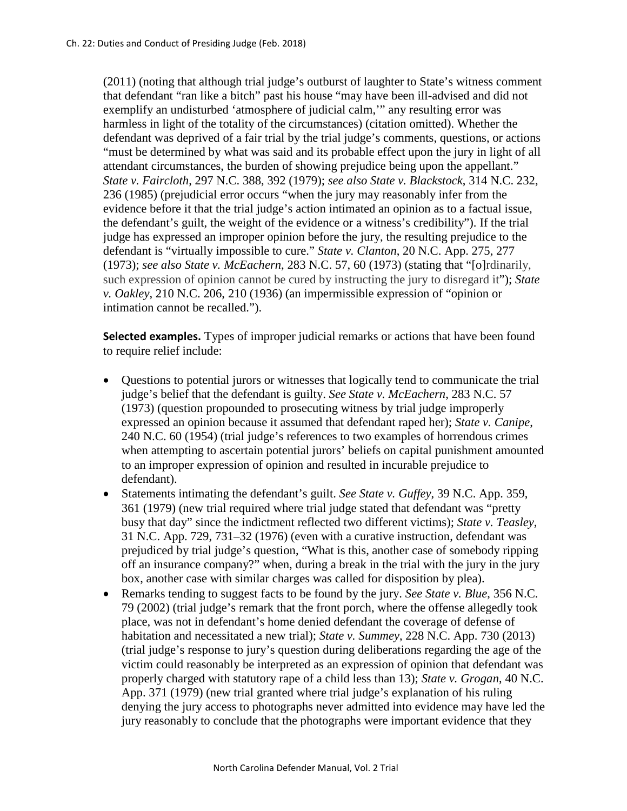(2011) (noting that although trial judge's outburst of laughter to State's witness comment that defendant "ran like a bitch" past his house "may have been ill-advised and did not exemplify an undisturbed 'atmosphere of judicial calm,'" any resulting error was harmless in light of the totality of the circumstances) (citation omitted). Whether the defendant was deprived of a fair trial by the trial judge's comments, questions, or actions "must be determined by what was said and its probable effect upon the jury in light of all attendant circumstances, the burden of showing prejudice being upon the appellant." *State v. Faircloth*, 297 N.C. 388, 392 (1979); *see also State v. Blackstock*, 314 N.C. 232, 236 (1985) (prejudicial error occurs "when the jury may reasonably infer from the evidence before it that the trial judge's action intimated an opinion as to a factual issue, the defendant's guilt, the weight of the evidence or a witness's credibility"). If the trial judge has expressed an improper opinion before the jury, the resulting prejudice to the defendant is "virtually impossible to cure." *State v. Clanton*, 20 N.C. App. 275, 277 (1973); *see also State v. McEachern*, 283 N.C. 57, 60 (1973) (stating that "[o]rdinarily, such expression of opinion cannot be cured by instructing the jury to disregard it"); *State v. Oakley*, 210 N.C. 206, 210 (1936) (an impermissible expression of "opinion or intimation cannot be recalled.").

**Selected examples.** Types of improper judicial remarks or actions that have been found to require relief include:

- Questions to potential jurors or witnesses that logically tend to communicate the trial judge's belief that the defendant is guilty. *See State v. McEachern*, 283 N.C. 57 (1973) (question propounded to prosecuting witness by trial judge improperly expressed an opinion because it assumed that defendant raped her); *State v. Canipe*, 240 N.C. 60 (1954) (trial judge's references to two examples of horrendous crimes when attempting to ascertain potential jurors' beliefs on capital punishment amounted to an improper expression of opinion and resulted in incurable prejudice to defendant).
- Statements intimating the defendant's guilt. *See State v. Guffey*, 39 N.C. App. 359, 361 (1979) (new trial required where trial judge stated that defendant was "pretty busy that day" since the indictment reflected two different victims); *State v. Teasley*, 31 N.C. App. 729, 731–32 (1976) (even with a curative instruction, defendant was prejudiced by trial judge's question, "What is this, another case of somebody ripping off an insurance company?" when, during a break in the trial with the jury in the jury box, another case with similar charges was called for disposition by plea).
- Remarks tending to suggest facts to be found by the jury. *See State v. Blue*, 356 N.C. 79 (2002) (trial judge's remark that the front porch, where the offense allegedly took place, was not in defendant's home denied defendant the coverage of defense of habitation and necessitated a new trial); *State v. Summey*, 228 N.C. App. 730 (2013) (trial judge's response to jury's question during deliberations regarding the age of the victim could reasonably be interpreted as an expression of opinion that defendant was properly charged with statutory rape of a child less than 13); *State v. Grogan*, 40 N.C. App. 371 (1979) (new trial granted where trial judge's explanation of his ruling denying the jury access to photographs never admitted into evidence may have led the jury reasonably to conclude that the photographs were important evidence that they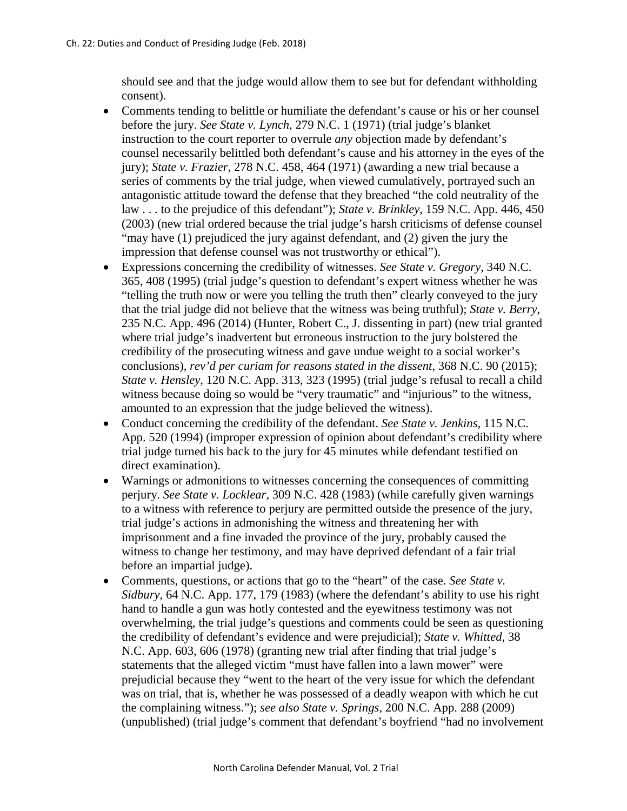should see and that the judge would allow them to see but for defendant withholding consent).

- Comments tending to belittle or humiliate the defendant's cause or his or her counsel before the jury. *See State v. Lynch*[, 279 N.C. 1 \(1971\)](http://web2.westlaw.com/find/default.wl?DB=711&SerialNum=1971127947&FindType=Y&AP=&RS=WLW4.10&VR=2.0&FN=_top&SV=Full&MT=NorthCarolina) (trial judge's blanket instruction to the court reporter to overrule *any* objection made by defendant's counsel necessarily belittled both defendant's cause and his attorney in the eyes of the jury); *State v. Frazier*[, 278 N.C. 458, 464 \(1971\)](http://web2.westlaw.com/find/default.wl?DB=711&SerialNum=1971127493&FindType=Y&AP=&RS=WLW4.10&VR=2.0&FN=_top&SV=Full&MT=NorthCarolina) (awarding a new trial because a series of comments by the trial judge, when viewed cumulatively, portrayed such an antagonistic attitude toward the defense that they breached "the cold neutrality of the law . . . to the prejudice of this defendant"); *State v. Brinkley*, 159 N.C. App. 446, 450 (2003) (new trial ordered because the trial judge's harsh criticisms of defense counsel "may have (1) prejudiced the jury against defendant, and (2) given the jury the impression that defense counsel was not trustworthy or ethical").
- Expressions concerning the credibility of witnesses. *See State v. Gregory*, 340 N.C. 365, 408 (1995) (trial judge's question to defendant's expert witness whether he was "telling the truth now or were you telling the truth then" clearly conveyed to the jury that the trial judge did not believe that the witness was being truthful); *State v. Berry*, 235 N.C. App. 496 (2014) (Hunter, Robert C., J. dissenting in part) (new trial granted where trial judge's inadvertent but erroneous instruction to the jury bolstered the credibility of the prosecuting witness and gave undue weight to a social worker's conclusions), *rev'd per curiam for reasons stated in the dissent*, 368 N.C. 90 (2015); *State v. Hensley*, 120 N.C. App. 313, 323 (1995) (trial judge's refusal to recall a child witness because doing so would be "very traumatic" and "injurious" to the witness, amounted to an expression that the judge believed the witness).
- Conduct concerning the credibility of the defendant. *See State v. Jenkins*, 115 N.C. App. 520 (1994) (improper expression of opinion about defendant's credibility where trial judge turned his back to the jury for 45 minutes while defendant testified on direct examination).
- Warnings or admonitions to witnesses concerning the consequences of committing perjury. *See State v. Locklear*, 309 N.C. 428 (1983) (while carefully given warnings to a witness with reference to perjury are permitted outside the presence of the jury, trial judge's actions in admonishing the witness and threatening her with imprisonment and a fine invaded the province of the jury, probably caused the witness to change her testimony, and may have deprived defendant of a fair trial before an impartial judge).
- Comments, questions, or actions that go to the "heart" of the case. *See State v. Sidbury*, 64 N.C. App. 177, 179 (1983) (where the defendant's ability to use his right hand to handle a gun was hotly contested and the eyewitness testimony was not overwhelming, the trial judge's questions and comments could be seen as questioning the credibility of defendant's evidence and were prejudicial); *State v. Whitted*, 38 N.C. App. 603, 606 (1978) (granting new trial after finding that trial judge's statements that the alleged victim "must have fallen into a lawn mower" were prejudicial because they "went to the heart of the very issue for which the defendant was on trial, that is, whether he was possessed of a deadly weapon with which he cut the complaining witness."); *see also State v. Springs*, 200 N.C. App. 288 (2009) (unpublished) (trial judge's comment that defendant's boyfriend "had no involvement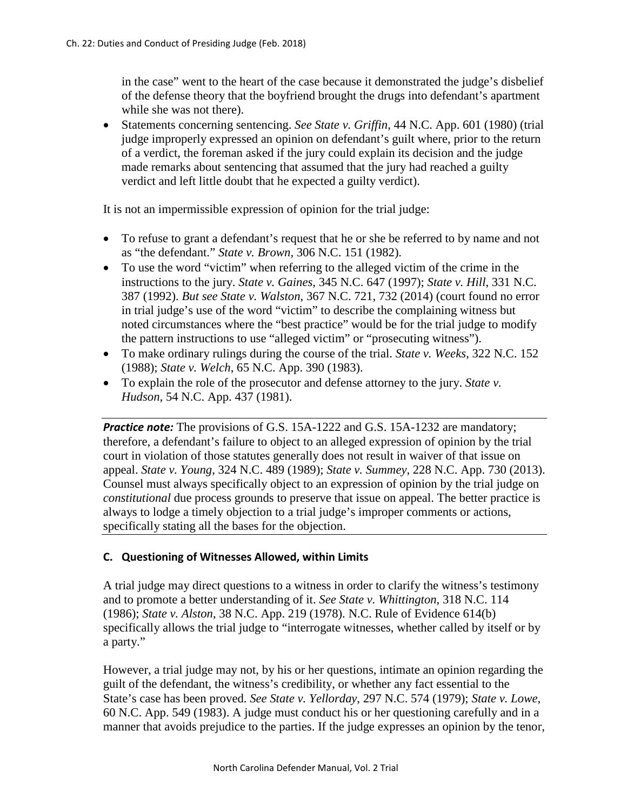in the case" went to the heart of the case because it demonstrated the judge's disbelief of the defense theory that the boyfriend brought the drugs into defendant's apartment while she was not there).

• Statements concerning sentencing. *See State v. Griffin*, 44 N.C. App. 601 (1980) (trial judge improperly expressed an opinion on defendant's guilt where, prior to the return of a verdict, the foreman asked if the jury could explain its decision and the judge made remarks about sentencing that assumed that the jury had reached a guilty verdict and left little doubt that he expected a guilty verdict).

It is not an impermissible expression of opinion for the trial judge:

- To refuse to grant a defendant's request that he or she be referred to by name and not as "the defendant." *State v. Brown*, 306 N.C. 151 (1982).
- To use the word "victim" when referring to the alleged victim of the crime in the instructions to the jury. *State v. Gaines*, 345 N.C. 647 (1997); *State v. Hill*, 331 N.C. 387 (1992). *But see State v. Walston*, 367 N.C. 721, 732 (2014) (court found no error in trial judge's use of the word "victim" to describe the complaining witness but noted circumstances where the "best practice" would be for the trial judge to modify the pattern instructions to use "alleged victim" or "prosecuting witness").
- To make ordinary rulings during the course of the trial. *State v. Weeks*, 322 N.C. 152 (1988); *State v. Welch*, 65 N.C. App. 390 (1983).
- To explain the role of the prosecutor and defense attorney to the jury. *State v. Hudson*, 54 N.C. App. 437 (1981).

**Practice note:** The provisions of G.S. 15A-1222 and G.S. 15A-1232 are mandatory; therefore, a defendant's failure to object to an alleged expression of opinion by the trial court in violation of those statutes generally does not result in waiver of that issue on appeal. *State v. Young*, 324 N.C. 489 (1989); *State v. Summey*, 228 N.C. App. 730 (2013). Counsel must always specifically object to an expression of opinion by the trial judge on *constitutional* due process grounds to preserve that issue on appeal. The better practice is always to lodge a timely objection to a trial judge's improper comments or actions, specifically stating all the bases for the objection.

# **C. Questioning of Witnesses Allowed, within Limits**

A trial judge may direct questions to a witness in order to clarify the witness's testimony and to promote a better understanding of it. *See State v. Whittington*, 318 N.C. 114 (1986); *State v. Alston*, 38 N.C. App. 219 (1978). N.C. Rule of Evidence 614(b) specifically allows the trial judge to "interrogate witnesses, whether called by itself or by a party."

However, a trial judge may not, by his or her questions, intimate an opinion regarding the guilt of the defendant, the witness's credibility, or whether any fact essential to the State's case has been proved. *See State v. Yellorday*, 297 N.C. 574 (1979); *State v. Lowe*, 60 N.C. App. 549 (1983). A judge must conduct his or her questioning carefully and in a manner that avoids prejudice to the parties. If the judge expresses an opinion by the tenor,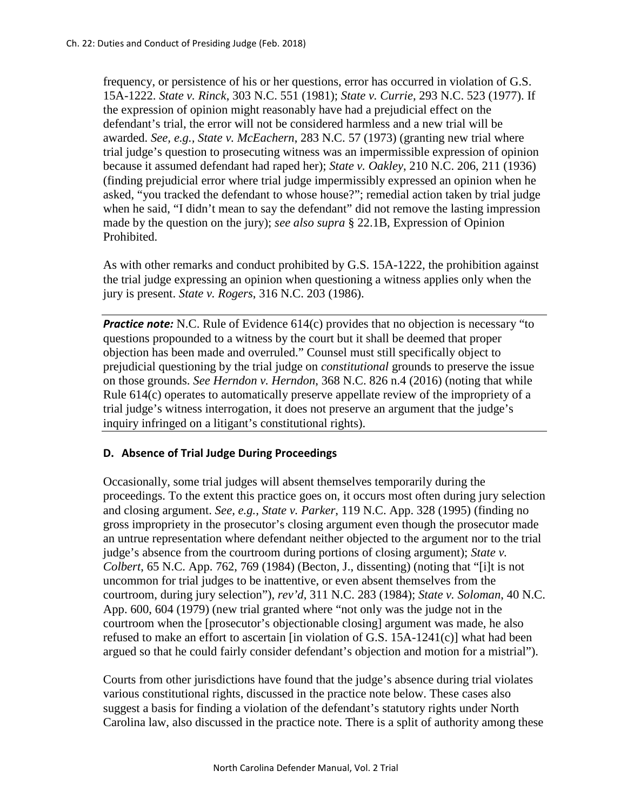frequency, or persistence of his or her questions, error has occurred in violation of G.S. 15A-1222. *State v. Rinck*, 303 N.C. 551 (1981); *State v. Currie*, 293 N.C. 523 (1977). If the expression of opinion might reasonably have had a prejudicial effect on the defendant's trial, the error will not be considered harmless and a new trial will be awarded. *See, e.g., State v. McEachern*, 283 N.C. 57 (1973) (granting new trial where trial judge's question to prosecuting witness was an impermissible expression of opinion because it assumed defendant had raped her); *State v. Oakley*, 210 N.C. 206, 211 (1936) (finding prejudicial error where trial judge impermissibly expressed an opinion when he asked, "you tracked the defendant to whose house?"; remedial action taken by trial judge when he said, "I didn't mean to say the defendant" did not remove the lasting impression made by the question on the jury); *see also supra* § 22.1B, Expression of Opinion Prohibited.

As with other remarks and conduct prohibited by G.S. 15A-1222, the prohibition against the trial judge expressing an opinion when questioning a witness applies only when the jury is present. *State v. Rogers*, 316 N.C. 203 (1986).

*Practice note:* N.C. Rule of Evidence 614(c) provides that no objection is necessary "to questions propounded to a witness by the court but it shall be deemed that proper objection has been made and overruled." Counsel must still specifically object to prejudicial questioning by the trial judge on *constitutional* grounds to preserve the issue on those grounds. *See Herndon v. Herndon*, 368 N.C. 826 n.4 (2016) (noting that while Rule 614(c) operates to automatically preserve appellate review of the impropriety of a trial judge's witness interrogation, it does not preserve an argument that the judge's inquiry infringed on a litigant's constitutional rights).

#### **D. Absence of Trial Judge During Proceedings**

Occasionally, some trial judges will absent themselves temporarily during the proceedings. To the extent this practice goes on, it occurs most often during jury selection and closing argument. *See, e.g., State v. Parker*, 119 N.C. App. 328 (1995) (finding no gross impropriety in the prosecutor's closing argument even though the prosecutor made an untrue representation where defendant neither objected to the argument nor to the trial judge's absence from the courtroom during portions of closing argument); *State v. Colbert*, 65 N.C. App. 762, 769 (1984) (Becton, J., dissenting) (noting that "[i]t is not uncommon for trial judges to be inattentive, or even absent themselves from the courtroom, during jury selection"), *rev'd*, 311 N.C. 283 (1984); *State v. Soloman*, 40 N.C. App. 600, 604 (1979) (new trial granted where "not only was the judge not in the courtroom when the [prosecutor's objectionable closing] argument was made, he also refused to make an effort to ascertain [in violation of G.S. 15A-1241(c)] what had been argued so that he could fairly consider defendant's objection and motion for a mistrial").

Courts from other jurisdictions have found that the judge's absence during trial violates various constitutional rights, discussed in the practice note below. These cases also suggest a basis for finding a violation of the defendant's statutory rights under North Carolina law, also discussed in the practice note. There is a split of authority among these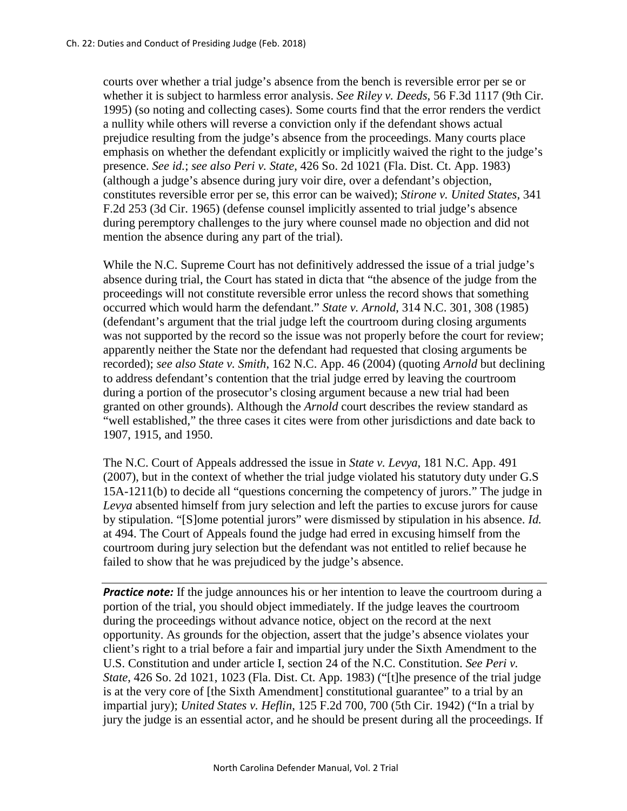courts over whether a trial judge's absence from the bench is reversible error per se or whether it is subject to harmless error analysis. *See Riley v. Deeds*, 56 F.3d 1117 (9th Cir. 1995) (so noting and collecting cases). Some courts find that the error renders the verdict a nullity while others will reverse a conviction only if the defendant shows actual prejudice resulting from the judge's absence from the proceedings. Many courts place emphasis on whether the defendant explicitly or implicitly waived the right to the judge's presence. *See id.*; *see also Peri v. State*, 426 So. 2d 1021 (Fla. Dist. Ct. App. 1983) (although a judge's absence during jury voir dire, over a defendant's objection, constitutes reversible error per se, this error can be waived); *Stirone v. United States*, 341 F.2d 253 (3d Cir. 1965) (defense counsel implicitly assented to trial judge's absence during peremptory challenges to the jury where counsel made no objection and did not mention the absence during any part of the trial).

While the N.C. Supreme Court has not definitively addressed the issue of a trial judge's absence during trial, the Court has stated in dicta that "the absence of the judge from the proceedings will not constitute reversible error unless the record shows that something occurred which would harm the defendant." *State v. Arnold*, 314 N.C. 301, 308 (1985) (defendant's argument that the trial judge left the courtroom during closing arguments was not supported by the record so the issue was not properly before the court for review; apparently neither the State nor the defendant had requested that closing arguments be recorded); *see also State v. Smith*, 162 N.C. App. 46 (2004) (quoting *Arnold* but declining to address defendant's contention that the trial judge erred by leaving the courtroom during a portion of the prosecutor's closing argument because a new trial had been granted on other grounds). Although the *Arnold* court describes the review standard as "well established," the three cases it cites were from other jurisdictions and date back to 1907, 1915, and 1950.

The N.C. Court of Appeals addressed the issue in *State v. Levya*, 181 N.C. App. 491 (2007), but in the context of whether the trial judge violated his statutory duty under G.S 15A-1211(b) to decide all "questions concerning the competency of jurors." The judge in *Levya* absented himself from jury selection and left the parties to excuse jurors for cause by stipulation. "[S]ome potential jurors" were dismissed by stipulation in his absence. *Id.* at 494. The Court of Appeals found the judge had erred in excusing himself from the courtroom during jury selection but the defendant was not entitled to relief because he failed to show that he was prejudiced by the judge's absence.

*Practice note:* If the judge announces his or her intention to leave the courtroom during a portion of the trial, you should object immediately. If the judge leaves the courtroom during the proceedings without advance notice, object on the record at the next opportunity. As grounds for the objection, assert that the judge's absence violates your client's right to a trial before a fair and impartial jury under the Sixth Amendment to the U.S. Constitution and under article I, section 24 of the N.C. Constitution. *See Peri v. State*, 426 So. 2d 1021, 1023 (Fla. Dist. Ct. App. 1983) ("[t]he presence of the trial judge is at the very core of [the Sixth Amendment] constitutional guarantee" to a trial by an impartial jury); *United States v. Heflin*, 125 F.2d 700, 700 (5th Cir. 1942) ("In a trial by jury the judge is an essential actor, and he should be present during all the proceedings. If